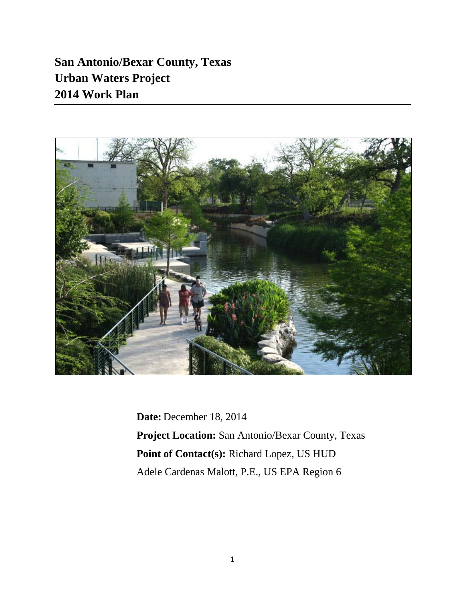**San Antonio/Bexar County, Texas Urban Waters Project 2014 Work Plan**



**Date:** December 18, 2014 **Project Location:** San Antonio/Bexar County, Texas **Point of Contact(s):** Richard Lopez, US HUD Adele Cardenas Malott, P.E., US EPA Region 6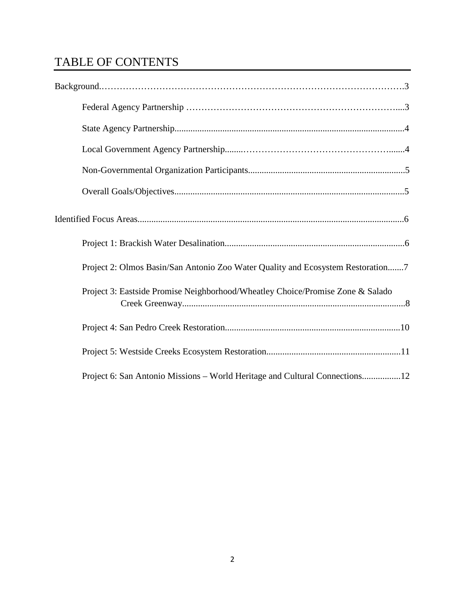# TABLE OF CONTENTS

| Project 2: Olmos Basin/San Antonio Zoo Water Quality and Ecosystem Restoration7 |
|---------------------------------------------------------------------------------|
| Project 3: Eastside Promise Neighborhood/Wheatley Choice/Promise Zone & Salado  |
|                                                                                 |
|                                                                                 |
| Project 6: San Antonio Missions – World Heritage and Cultural Connections12     |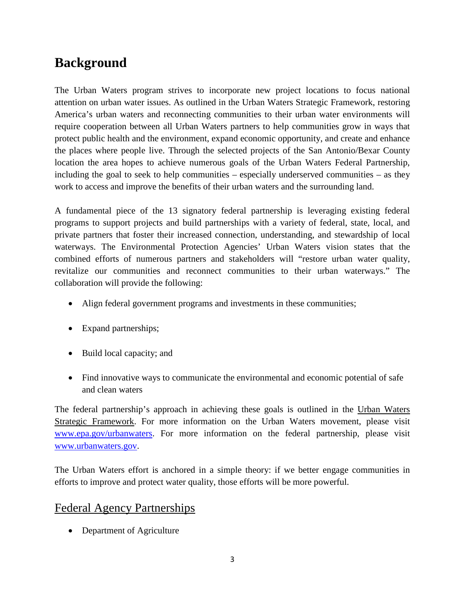# **Background**

The Urban Waters program strives to incorporate new project locations to focus national attention on urban water issues. As outlined in the Urban Waters Strategic Framework, restoring America's urban waters and reconnecting communities to their urban water environments will require cooperation between all Urban Waters partners to help communities grow in ways that protect public health and the environment, expand economic opportunity, and create and enhance the places where people live. Through the selected projects of the San Antonio/Bexar County location the area hopes to achieve numerous goals of the Urban Waters Federal Partnership, including the goal to seek to help communities – especially underserved communities – as they work to access and improve the benefits of their urban waters and the surrounding land.

A fundamental piece of the 13 signatory federal partnership is leveraging existing federal programs to support projects and build partnerships with a variety of federal, state, local, and private partners that foster their increased connection, understanding, and stewardship of local waterways. The Environmental Protection Agencies' Urban Waters vision states that the combined efforts of numerous partners and stakeholders will "restore urban water quality, revitalize our communities and reconnect communities to their urban waterways." The collaboration will provide the following:

- Align federal government programs and investments in these communities;
- Expand partnerships;
- Build local capacity; and
- Find innovative ways to communicate the environmental and economic potential of safe and clean waters

The federal partnership's approach in achieving these goals is outlined in the Urban Waters Strategic Framework. For more information on the Urban Waters movement, please visit [www.epa.gov/urbanwaters.](http://www.epa.gov/urbanwaters) For more information on the federal partnership, please visit [www.urbanwaters.gov.](http://www.urbanwaters.gov/)

The Urban Waters effort is anchored in a simple theory: if we better engage communities in efforts to improve and protect water quality, those efforts will be more powerful.

## Federal Agency Partnerships

• Department of Agriculture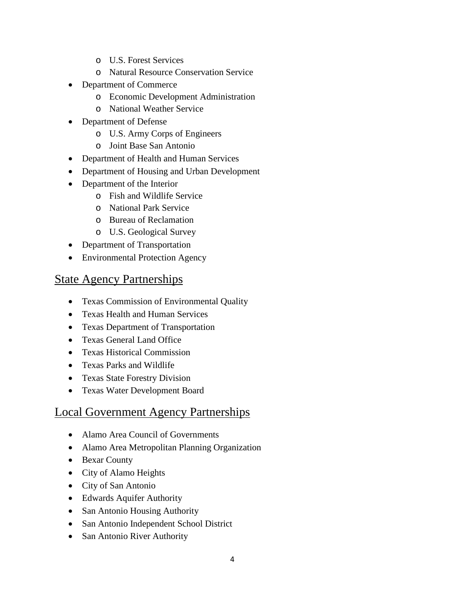- o U.S. Forest Services
- o Natural Resource Conservation Service
- Department of Commerce
	- o Economic Development Administration
	- o National Weather Service
- Department of Defense
	- o U.S. Army Corps of Engineers
	- o Joint Base San Antonio
- Department of Health and Human Services
- Department of Housing and Urban Development
- Department of the Interior
	- o Fish and Wildlife Service
	- o National Park Service
	- o Bureau of Reclamation
	- o U.S. Geological Survey
- Department of Transportation
- Environmental Protection Agency

## State Agency Partnerships

- Texas Commission of Environmental Quality
- Texas Health and Human Services
- Texas Department of Transportation
- Texas General Land Office
- Texas Historical Commission
- Texas Parks and Wildlife
- Texas State Forestry Division
- Texas Water Development Board

## Local Government Agency Partnerships

- Alamo Area Council of Governments
- Alamo Area Metropolitan Planning Organization
- Bexar County
- City of Alamo Heights
- City of San Antonio
- Edwards Aquifer Authority
- San Antonio Housing Authority
- San Antonio Independent School District
- San Antonio River Authority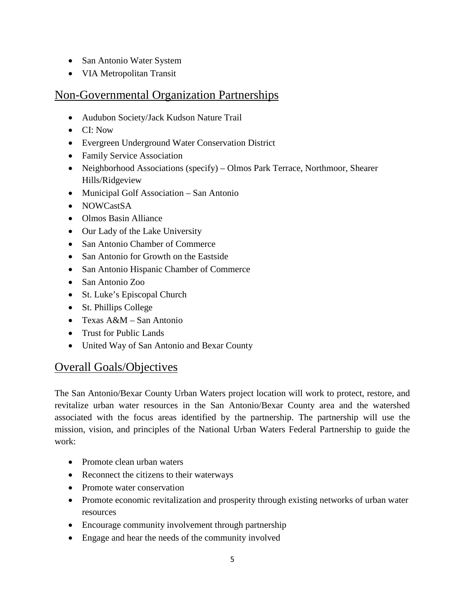- San Antonio Water System
- VIA Metropolitan Transit

## Non-Governmental Organization Partnerships

- Audubon Society/Jack Kudson Nature Trail
- CI: Now
- Evergreen Underground Water Conservation District
- Family Service Association
- Neighborhood Associations (specify) Olmos Park Terrace, Northmoor, Shearer Hills/Ridgeview
- Municipal Golf Association San Antonio
- NOWCastSA
- Olmos Basin Alliance
- Our Lady of the Lake University
- San Antonio Chamber of Commerce
- San Antonio for Growth on the Eastside
- San Antonio Hispanic Chamber of Commerce
- San Antonio Zoo
- St. Luke's Episcopal Church
- St. Phillips College
- Texas A&M San Antonio
- Trust for Public Lands
- United Way of San Antonio and Bexar County

## Overall Goals/Objectives

The San Antonio/Bexar County Urban Waters project location will work to protect, restore, and revitalize urban water resources in the San Antonio/Bexar County area and the watershed associated with the focus areas identified by the partnership. The partnership will use the mission, vision, and principles of the National Urban Waters Federal Partnership to guide the work:

- Promote clean urban waters
- Reconnect the citizens to their waterways
- Promote water conservation
- Promote economic revitalization and prosperity through existing networks of urban water resources
- Encourage community involvement through partnership
- Engage and hear the needs of the community involved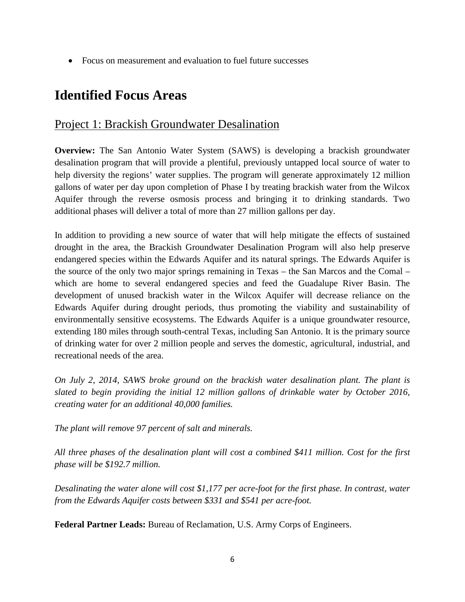• Focus on measurement and evaluation to fuel future successes

# **Identified Focus Areas**

## Project 1: Brackish Groundwater Desalination

**Overview:** The San Antonio Water System (SAWS) is developing a brackish groundwater desalination program that will provide a plentiful, previously untapped local source of water to help diversity the regions' water supplies. The program will generate approximately 12 million gallons of water per day upon completion of Phase I by treating brackish water from the Wilcox Aquifer through the reverse osmosis process and bringing it to drinking standards. Two additional phases will deliver a total of more than 27 million gallons per day.

In addition to providing a new source of water that will help mitigate the effects of sustained drought in the area, the Brackish Groundwater Desalination Program will also help preserve endangered species within the Edwards Aquifer and its natural springs. The Edwards Aquifer is the source of the only two major springs remaining in Texas – the San Marcos and the Comal – which are home to several endangered species and feed the Guadalupe River Basin. The development of unused brackish water in the Wilcox Aquifer will decrease reliance on the Edwards Aquifer during drought periods, thus promoting the viability and sustainability of environmentally sensitive ecosystems. The Edwards Aquifer is a unique groundwater resource, extending 180 miles through south-central Texas, including San Antonio. It is the primary source of drinking water for over 2 million people and serves the domestic, agricultural, industrial, and recreational needs of the area.

*On July 2, 2014, SAWS broke ground on the brackish water desalination plant. The plant is slated to begin providing the initial 12 million gallons of drinkable water by October 2016, creating water for an additional 40,000 families.*

*The plant will remove 97 percent of salt and minerals.*

*All three phases of the desalination plant will cost a combined \$411 million. Cost for the first phase will be \$192.7 million.*

*Desalinating the water alone will cost \$1,177 per acre-foot for the first phase. In contrast, water from the Edwards Aquifer costs between \$331 and \$541 per acre-foot.*

**Federal Partner Leads:** Bureau of Reclamation, U.S. Army Corps of Engineers.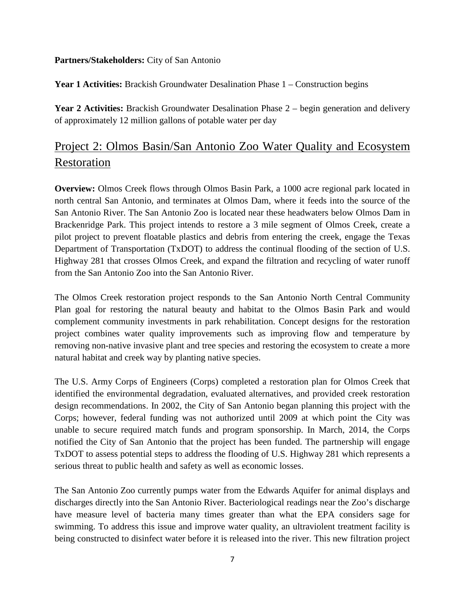#### **Partners/Stakeholders:** City of San Antonio

**Year 1 Activities:** Brackish Groundwater Desalination Phase 1 – Construction begins

Year 2 Activities: Brackish Groundwater Desalination Phase 2 – begin generation and delivery of approximately 12 million gallons of potable water per day

# Project 2: Olmos Basin/San Antonio Zoo Water Quality and Ecosystem Restoration

**Overview:** Olmos Creek flows through Olmos Basin Park, a 1000 acre regional park located in north central San Antonio, and terminates at Olmos Dam, where it feeds into the source of the San Antonio River. The San Antonio Zoo is located near these headwaters below Olmos Dam in Brackenridge Park. This project intends to restore a 3 mile segment of Olmos Creek, create a pilot project to prevent floatable plastics and debris from entering the creek, engage the Texas Department of Transportation (TxDOT) to address the continual flooding of the section of U.S. Highway 281 that crosses Olmos Creek, and expand the filtration and recycling of water runoff from the San Antonio Zoo into the San Antonio River.

The Olmos Creek restoration project responds to the San Antonio North Central Community Plan goal for restoring the natural beauty and habitat to the Olmos Basin Park and would complement community investments in park rehabilitation. Concept designs for the restoration project combines water quality improvements such as improving flow and temperature by removing non-native invasive plant and tree species and restoring the ecosystem to create a more natural habitat and creek way by planting native species.

The U.S. Army Corps of Engineers (Corps) completed a restoration plan for Olmos Creek that identified the environmental degradation, evaluated alternatives, and provided creek restoration design recommendations. In 2002, the City of San Antonio began planning this project with the Corps; however, federal funding was not authorized until 2009 at which point the City was unable to secure required match funds and program sponsorship. In March, 2014, the Corps notified the City of San Antonio that the project has been funded. The partnership will engage TxDOT to assess potential steps to address the flooding of U.S. Highway 281 which represents a serious threat to public health and safety as well as economic losses.

The San Antonio Zoo currently pumps water from the Edwards Aquifer for animal displays and discharges directly into the San Antonio River. Bacteriological readings near the Zoo's discharge have measure level of bacteria many times greater than what the EPA considers sage for swimming. To address this issue and improve water quality, an ultraviolent treatment facility is being constructed to disinfect water before it is released into the river. This new filtration project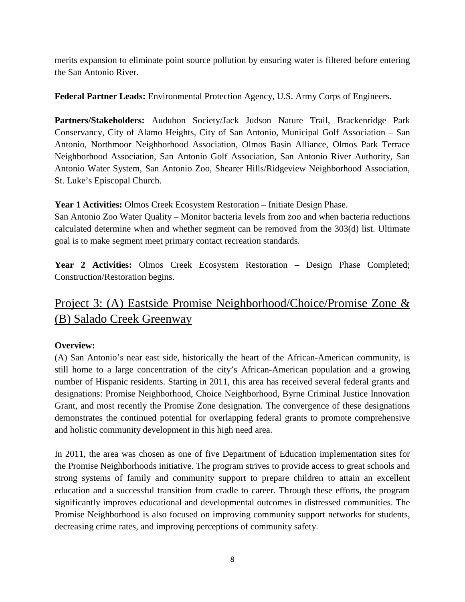merits expansion to eliminate point source pollution by ensuring water is filtered before entering the San Antonio River.

**Federal Partner Leads:** Environmental Protection Agency, U.S. Army Corps of Engineers.

**Partners/Stakeholders:** Audubon Society/Jack Judson Nature Trail, Brackenridge Park Conservancy, City of Alamo Heights, City of San Antonio, Municipal Golf Association – San Antonio, Northmoor Neighborhood Association, Olmos Basin Alliance, Olmos Park Terrace Neighborhood Association, San Antonio Golf Association, San Antonio River Authority, San Antonio Water System, San Antonio Zoo, Shearer Hills/Ridgeview Neighborhood Association, St. Luke's Episcopal Church.

**Year 1 Activities:** Olmos Creek Ecosystem Restoration – Initiate Design Phase.

San Antonio Zoo Water Quality – Monitor bacteria levels from zoo and when bacteria reductions calculated determine when and whether segment can be removed from the 303(d) list. Ultimate goal is to make segment meet primary contact recreation standards.

Year 2 Activities: Olmos Creek Ecosystem Restoration – Design Phase Completed; Construction/Restoration begins.

# Project 3: (A) Eastside Promise Neighborhood/Choice/Promise Zone & (B) Salado Creek Greenway

#### **Overview:**

(A) San Antonio's near east side, historically the heart of the African-American community, is still home to a large concentration of the city's African-American population and a growing number of Hispanic residents. Starting in 2011, this area has received several federal grants and designations: Promise Neighborhood, Choice Neighborhood, Byrne Criminal Justice Innovation Grant, and most recently the Promise Zone designation. The convergence of these designations demonstrates the continued potential for overlapping federal grants to promote comprehensive and holistic community development in this high need area.

In 2011, the area was chosen as one of five Department of Education implementation sites for the Promise Neighborhoods initiative. The program strives to provide access to great schools and strong systems of family and community support to prepare children to attain an excellent education and a successful transition from cradle to career. Through these efforts, the program significantly improves educational and developmental outcomes in distressed communities. The Promise Neighborhood is also focused on improving community support networks for students, decreasing crime rates, and improving perceptions of community safety.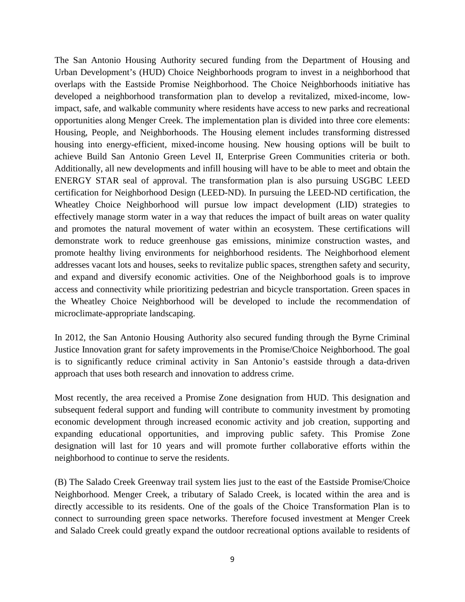The San Antonio Housing Authority secured funding from the Department of Housing and Urban Development's (HUD) Choice Neighborhoods program to invest in a neighborhood that overlaps with the Eastside Promise Neighborhood. The Choice Neighborhoods initiative has developed a neighborhood transformation plan to develop a revitalized, mixed-income, lowimpact, safe, and walkable community where residents have access to new parks and recreational opportunities along Menger Creek. The implementation plan is divided into three core elements: Housing, People, and Neighborhoods. The Housing element includes transforming distressed housing into energy-efficient, mixed-income housing. New housing options will be built to achieve Build San Antonio Green Level II, Enterprise Green Communities criteria or both. Additionally, all new developments and infill housing will have to be able to meet and obtain the ENERGY STAR seal of approval. The transformation plan is also pursuing USGBC LEED certification for Neighborhood Design (LEED-ND). In pursuing the LEED-ND certification, the Wheatley Choice Neighborhood will pursue low impact development (LID) strategies to effectively manage storm water in a way that reduces the impact of built areas on water quality and promotes the natural movement of water within an ecosystem. These certifications will demonstrate work to reduce greenhouse gas emissions, minimize construction wastes, and promote healthy living environments for neighborhood residents. The Neighborhood element addresses vacant lots and houses, seeks to revitalize public spaces, strengthen safety and security, and expand and diversify economic activities. One of the Neighborhood goals is to improve access and connectivity while prioritizing pedestrian and bicycle transportation. Green spaces in the Wheatley Choice Neighborhood will be developed to include the recommendation of microclimate-appropriate landscaping.

In 2012, the San Antonio Housing Authority also secured funding through the Byrne Criminal Justice Innovation grant for safety improvements in the Promise/Choice Neighborhood. The goal is to significantly reduce criminal activity in San Antonio's eastside through a data-driven approach that uses both research and innovation to address crime.

Most recently, the area received a Promise Zone designation from HUD. This designation and subsequent federal support and funding will contribute to community investment by promoting economic development through increased economic activity and job creation, supporting and expanding educational opportunities, and improving public safety. This Promise Zone designation will last for 10 years and will promote further collaborative efforts within the neighborhood to continue to serve the residents.

(B) The Salado Creek Greenway trail system lies just to the east of the Eastside Promise/Choice Neighborhood. Menger Creek, a tributary of Salado Creek, is located within the area and is directly accessible to its residents. One of the goals of the Choice Transformation Plan is to connect to surrounding green space networks. Therefore focused investment at Menger Creek and Salado Creek could greatly expand the outdoor recreational options available to residents of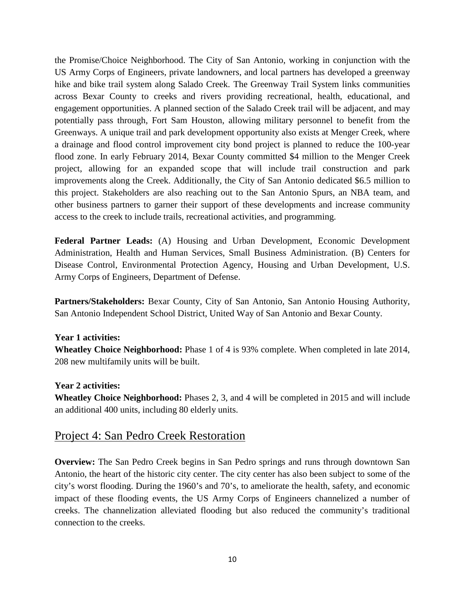the Promise/Choice Neighborhood. The City of San Antonio, working in conjunction with the US Army Corps of Engineers, private landowners, and local partners has developed a greenway hike and bike trail system along Salado Creek. The Greenway Trail System links communities across Bexar County to creeks and rivers providing recreational, health, educational, and engagement opportunities. A planned section of the Salado Creek trail will be adjacent, and may potentially pass through, Fort Sam Houston, allowing military personnel to benefit from the Greenways. A unique trail and park development opportunity also exists at Menger Creek, where a drainage and flood control improvement city bond project is planned to reduce the 100-year flood zone. In early February 2014, Bexar County committed \$4 million to the Menger Creek project, allowing for an expanded scope that will include trail construction and park improvements along the Creek. Additionally, the City of San Antonio dedicated \$6.5 million to this project. Stakeholders are also reaching out to the San Antonio Spurs, an NBA team, and other business partners to garner their support of these developments and increase community access to the creek to include trails, recreational activities, and programming.

**Federal Partner Leads:** (A) Housing and Urban Development, Economic Development Administration, Health and Human Services, Small Business Administration. (B) Centers for Disease Control, Environmental Protection Agency, Housing and Urban Development, U.S. Army Corps of Engineers, Department of Defense.

**Partners/Stakeholders:** Bexar County, City of San Antonio, San Antonio Housing Authority, San Antonio Independent School District, United Way of San Antonio and Bexar County.

#### **Year 1 activities:**

**Wheatley Choice Neighborhood:** Phase 1 of 4 is 93% complete. When completed in late 2014, 208 new multifamily units will be built.

#### **Year 2 activities:**

**Wheatley Choice Neighborhood:** Phases 2, 3, and 4 will be completed in 2015 and will include an additional 400 units, including 80 elderly units.

### Project 4: San Pedro Creek Restoration

**Overview:** The San Pedro Creek begins in San Pedro springs and runs through downtown San Antonio, the heart of the historic city center. The city center has also been subject to some of the city's worst flooding. During the 1960's and 70's, to ameliorate the health, safety, and economic impact of these flooding events, the US Army Corps of Engineers channelized a number of creeks. The channelization alleviated flooding but also reduced the community's traditional connection to the creeks.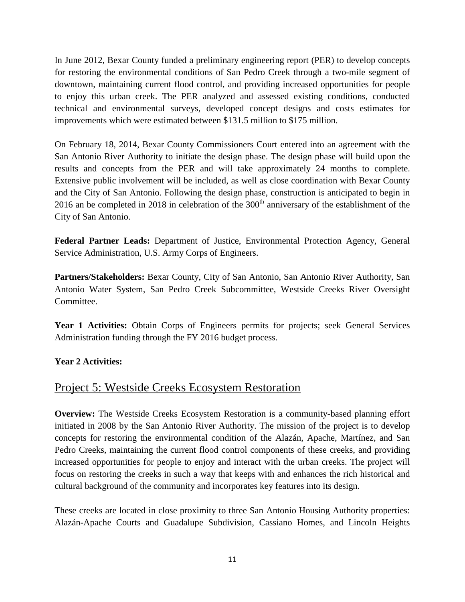In June 2012, Bexar County funded a preliminary engineering report (PER) to develop concepts for restoring the environmental conditions of San Pedro Creek through a two-mile segment of downtown, maintaining current flood control, and providing increased opportunities for people to enjoy this urban creek. The PER analyzed and assessed existing conditions, conducted technical and environmental surveys, developed concept designs and costs estimates for improvements which were estimated between \$131.5 million to \$175 million.

On February 18, 2014, Bexar County Commissioners Court entered into an agreement with the San Antonio River Authority to initiate the design phase. The design phase will build upon the results and concepts from the PER and will take approximately 24 months to complete. Extensive public involvement will be included, as well as close coordination with Bexar County and the City of San Antonio. Following the design phase, construction is anticipated to begin in 2016 an be completed in 2018 in celebration of the  $300<sup>th</sup>$  anniversary of the establishment of the City of San Antonio.

**Federal Partner Leads:** Department of Justice, Environmental Protection Agency, General Service Administration, U.S. Army Corps of Engineers.

**Partners/Stakeholders:** Bexar County, City of San Antonio, San Antonio River Authority, San Antonio Water System, San Pedro Creek Subcommittee, Westside Creeks River Oversight Committee.

**Year 1 Activities:** Obtain Corps of Engineers permits for projects; seek General Services Administration funding through the FY 2016 budget process.

#### **Year 2 Activities:**

## Project 5: Westside Creeks Ecosystem Restoration

**Overview:** The Westside Creeks Ecosystem Restoration is a community-based planning effort initiated in 2008 by the San Antonio River Authority. The mission of the project is to develop concepts for restoring the environmental condition of the Alazán, Apache, Martínez, and San Pedro Creeks, maintaining the current flood control components of these creeks, and providing increased opportunities for people to enjoy and interact with the urban creeks. The project will focus on restoring the creeks in such a way that keeps with and enhances the rich historical and cultural background of the community and incorporates key features into its design.

These creeks are located in close proximity to three San Antonio Housing Authority properties: Alazán-Apache Courts and Guadalupe Subdivision, Cassiano Homes, and Lincoln Heights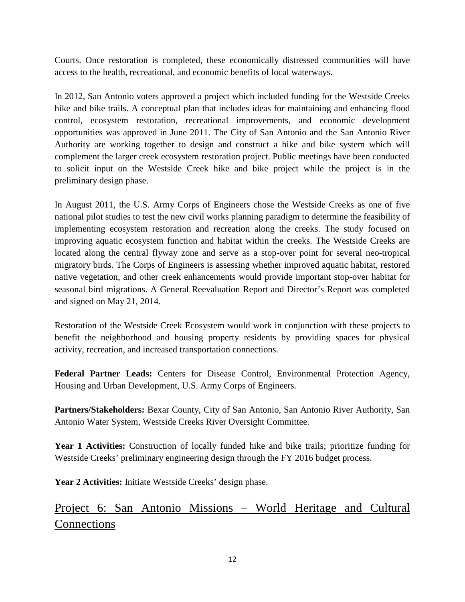Courts. Once restoration is completed, these economically distressed communities will have access to the health, recreational, and economic benefits of local waterways.

In 2012, San Antonio voters approved a project which included funding for the Westside Creeks hike and bike trails. A conceptual plan that includes ideas for maintaining and enhancing flood control, ecosystem restoration, recreational improvements, and economic development opportunities was approved in June 2011. The City of San Antonio and the San Antonio River Authority are working together to design and construct a hike and bike system which will complement the larger creek ecosystem restoration project. Public meetings have been conducted to solicit input on the Westside Creek hike and bike project while the project is in the preliminary design phase.

In August 2011, the U.S. Army Corps of Engineers chose the Westside Creeks as one of five national pilot studies to test the new civil works planning paradigm to determine the feasibility of implementing ecosystem restoration and recreation along the creeks. The study focused on improving aquatic ecosystem function and habitat within the creeks. The Westside Creeks are located along the central flyway zone and serve as a stop-over point for several neo-tropical migratory birds. The Corps of Engineers is assessing whether improved aquatic habitat, restored native vegetation, and other creek enhancements would provide important stop-over habitat for seasonal bird migrations. A General Reevaluation Report and Director's Report was completed and signed on May 21, 2014.

Restoration of the Westside Creek Ecosystem would work in conjunction with these projects to benefit the neighborhood and housing property residents by providing spaces for physical activity, recreation, and increased transportation connections.

**Federal Partner Leads:** Centers for Disease Control, Environmental Protection Agency, Housing and Urban Development, U.S. Army Corps of Engineers.

**Partners/Stakeholders:** Bexar County, City of San Antonio, San Antonio River Authority, San Antonio Water System, Westside Creeks River Oversight Committee.

**Year 1 Activities:** Construction of locally funded hike and bike trails; prioritize funding for Westside Creeks' preliminary engineering design through the FY 2016 budget process.

Year 2 Activities: Initiate Westside Creeks' design phase.

Project 6: San Antonio Missions – World Heritage and Cultural Connections